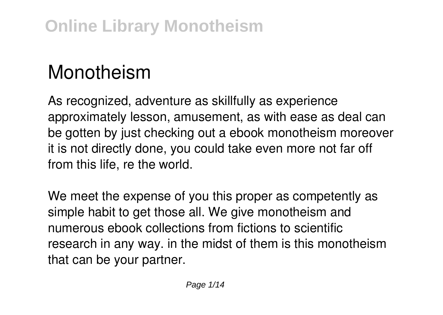# **Monotheism**

As recognized, adventure as skillfully as experience approximately lesson, amusement, as with ease as deal can be gotten by just checking out a ebook **monotheism** moreover it is not directly done, you could take even more not far off from this life, re the world.

We meet the expense of you this proper as competently as simple habit to get those all. We give monotheism and numerous ebook collections from fictions to scientific research in any way. in the midst of them is this monotheism that can be your partner.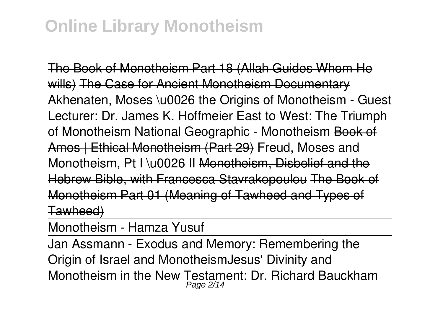The Book of Monotheism Part 18 (Allah Guides Whom He wills) The Case for Ancient Monotheism Documentary *Akhenaten, Moses \u0026 the Origins of Monotheism - Guest Lecturer: Dr. James K. Hoffmeier East to West: The Triumph of Monotheism* **National Geographic - Monotheism** Book of Amos | Ethical Monotheism (Part 29) Freud, Moses and Monotheism, Pt I \u0026 II Monotheism. Disbelief and the Hebrew Bible, with Francesca Stavrakopoulou The Book of Monotheism Part 01 (Meaning of Tawheed and Types of Tawheed)

Monotheism - Hamza Yusuf

Jan Assmann - Exodus and Memory: Remembering the Origin of Israel and Monotheism**Jesus' Divinity and Monotheism in the New Testament: Dr. Richard Bauckham** Page 2/14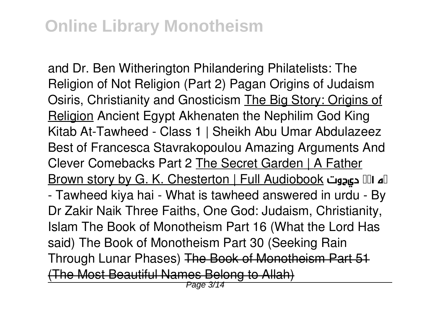**and Dr. Ben Witherington** *Philandering Philatelists: The Religion of Not Religion (Part 2)* **Pagan Origins of Judaism Osiris, Christianity and Gnosticism** The Big Story: Origins of Religion *Ancient Egypt Akhenaten the Nephilim God King Kitab At-Tawheed - Class 1 | Sheikh Abu Umar Abdulazeez Best of Francesca Stavrakopoulou Amazing Arguments And Clever Comebacks Part 2* The Secret Garden | A Father Brown story by G. K. Chesterton | Full Audiobook **ديحوت ایک ےه - Tawheed kiya hai - What is tawheed answered in urdu - By Dr Zakir Naik** Three Faiths, One God: Judaism, Christianity, Islam The Book of Monotheism Part 16 (What the Lord Has said) **The Book of Monotheism Part 30 (Seeking Rain Through Lunar Phases)** The Book of Monotheism Part 51 **The Most Beautiful Names Belong to Allah)**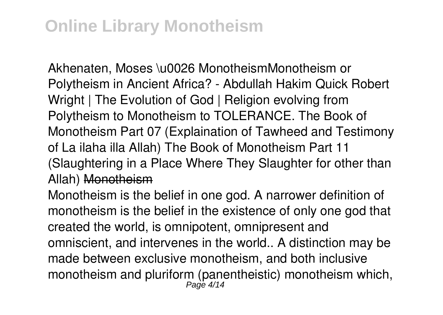Akhenaten, Moses \u0026 Monotheism**Monotheism or Polytheism in Ancient Africa? - Abdullah Hakim Quick Robert Wright | The Evolution of God | Religion evolving from Polytheism to Monotheism to TOLERANCE. The Book of Monotheism Part 07 (Explaination of Tawheed and Testimony of La ilaha illa Allah)** *The Book of Monotheism Part 11 (Slaughtering in a Place Where They Slaughter for other than Allah)* Monotheism

Monotheism is the belief in one god. A narrower definition of monotheism is the belief in the existence of only one god that created the world, is omnipotent, omnipresent and omniscient, and intervenes in the world.. A distinction may be made between exclusive monotheism, and both inclusive monotheism and pluriform (panentheistic) monotheism which, Page 4/14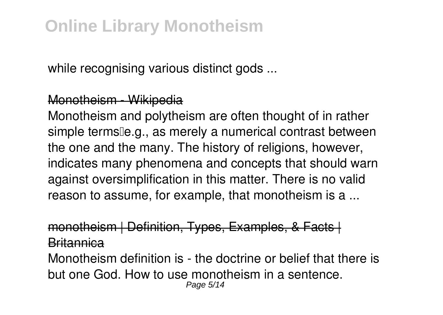while recognising various distinct gods ...

#### Monotheism - Wikipedia

Monotheism and polytheism are often thought of in rather simple terms le.g., as merely a numerical contrast between the one and the many. The history of religions, however, indicates many phenomena and concepts that should warn against oversimplification in this matter. There is no valid reason to assume, for example, that monotheism is a ...

### ism | Definition, Types, Examples, & Facts Britannica

Monotheism definition is - the doctrine or belief that there is but one God. How to use monotheism in a sentence. Page 5/14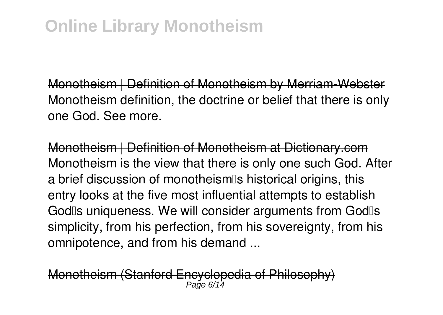Monotheism | Definition of Monotheism by Merriam-Webster Monotheism definition, the doctrine or belief that there is only one God. See more.

Monotheism | Definition of Monotheism at Dictionary.com Monotheism is the view that there is only one such God. After a brief discussion of monotheism<sup>®</sup>s historical origins, this entry looks at the five most influential attempts to establish God<sup>®</sup>s uniqueness. We will consider arguments from God<sup>®</sup>s simplicity, from his perfection, from his sovereignty, from his omnipotence, and from his demand ...

Monotheism (Stanford Encyclopedia of Philosophy) Page 6/14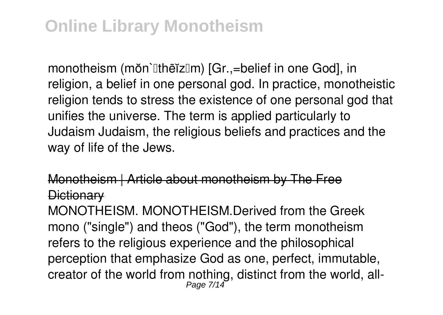monotheism (mŏn`llthēĭzlm) [Gr.,=belief in one God], in religion, a belief in one personal god. In practice, monotheistic religion tends to stress the existence of one personal god that unifies the universe. The term is applied particularly to Judaism Judaism, the religious beliefs and practices and the way of life of the Jews.

### Monotheism | Article about monotheism by The Free Dictionary

MONOTHEISM. MONOTHEISM.Derived from the Greek mono ("single") and theos ("God"), the term monotheism refers to the religious experience and the philosophical perception that emphasize God as one, perfect, immutable, creator of the world from nothing, distinct from the world, all-Page 7/14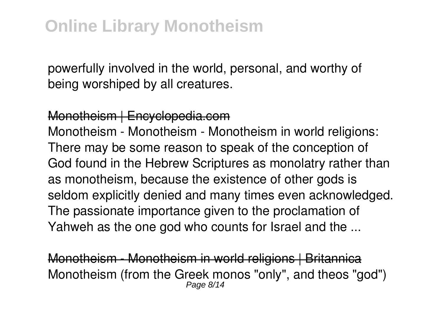powerfully involved in the world, personal, and worthy of being worshiped by all creatures.

#### Monotheism | Encyclopedia.com

Monotheism - Monotheism - Monotheism in world religions: There may be some reason to speak of the conception of God found in the Hebrew Scriptures as monolatry rather than as monotheism, because the existence of other gods is seldom explicitly denied and many times even acknowledged. The passionate importance given to the proclamation of Yahweh as the one god who counts for Israel and the ...

Monotheism - Monotheism in world religions | Britannica Monotheism (from the Greek monos "only", and theos "god") Page 8/14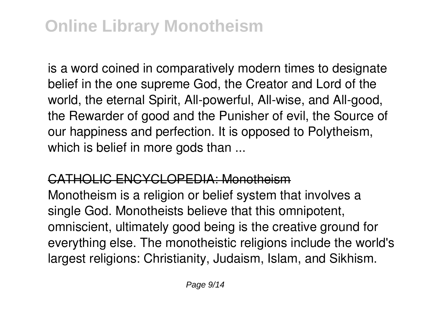is a word coined in comparatively modern times to designate belief in the one supreme God, the Creator and Lord of the world, the eternal Spirit, All-powerful, All-wise, and All-good, the Rewarder of good and the Punisher of evil, the Source of our happiness and perfection. It is opposed to Polytheism, which is belief in more gods than ...

#### CATHOLIC ENCYCLOPEDIA: Monotheism

Monotheism is a religion or belief system that involves a single God. Monotheists believe that this omnipotent, omniscient, ultimately good being is the creative ground for everything else. The monotheistic religions include the world's largest religions: Christianity, Judaism, Islam, and Sikhism.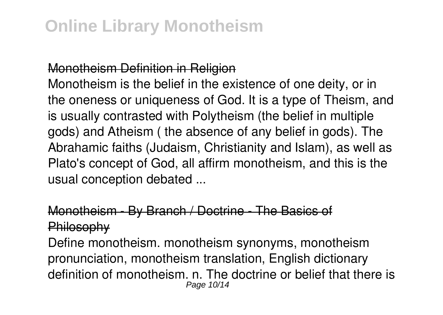#### Monotheism Definition in Religion

Monotheism is the belief in the existence of one deity, or in the oneness or uniqueness of God. It is a type of Theism, and is usually contrasted with Polytheism (the belief in multiple gods) and Atheism ( the absence of any belief in gods). The Abrahamic faiths (Judaism, Christianity and Islam), as well as Plato's concept of God, all affirm monotheism, and this is the usual conception debated ...

### $\lim$  - By Branch / Doctrine - The Basi Philosophy

Define monotheism. monotheism synonyms, monotheism pronunciation, monotheism translation, English dictionary definition of monotheism. n. The doctrine or belief that there is Page 10/14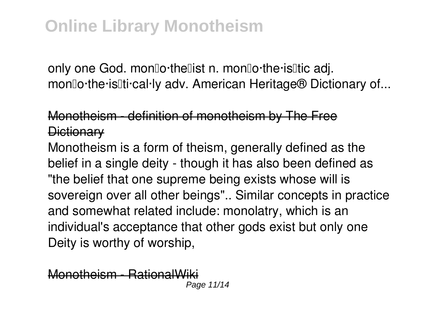only one God. monlo thellist n. monlo the islitic adi. mon<sub>0</sub>·the·is<sup>[1]</sup>·cal·ly adv. American Heritage<sup>®</sup> Dictionary of...

### Monotheism - definition of monotheism by The Free **Dictionary**

Monotheism is a form of theism, generally defined as the belief in a single deity - though it has also been defined as "the belief that one supreme being exists whose will is sovereign over all other beings".. Similar concepts in practice and somewhat related include: monolatry, which is an individual's acceptance that other gods exist but only one Deity is worthy of worship,

Monotheism - RationalWiki Page 11/14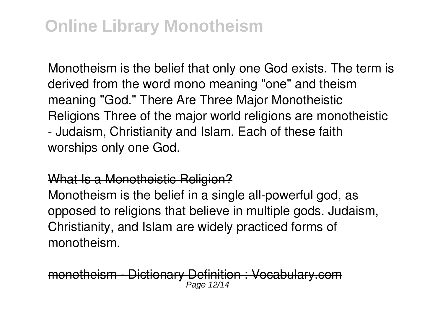Monotheism is the belief that only one God exists. The term is derived from the word mono meaning "one" and theism meaning "God." There Are Three Major Monotheistic Religions Three of the major world religions are monotheistic - Judaism, Christianity and Islam. Each of these faith worships only one God.

#### What Is a Monotheistic Religion?

Monotheism is the belief in a single all-powerful god, as opposed to religions that believe in multiple gods. Judaism, Christianity, and Islam are widely practiced forms of monotheism.

onotheism - Dictionary Definition : Vocabular Page 12/14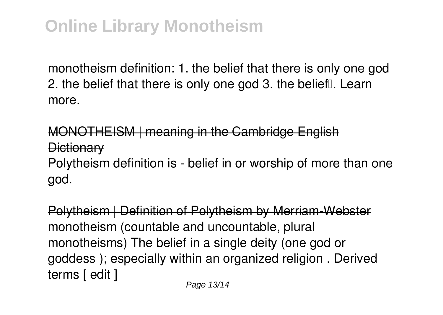monotheism definition: 1. the belief that there is only one god 2. the belief that there is only one god 3, the belief. Learn more.

### MONOTHEISM | meaning in the Cambridge English **Dictionary**

Polytheism definition is - belief in or worship of more than one god.

Polytheism | Definition of Polytheism by Merriam-Webster monotheism (countable and uncountable, plural monotheisms) The belief in a single deity (one god or goddess ); especially within an organized religion . Derived terms [ edit ]